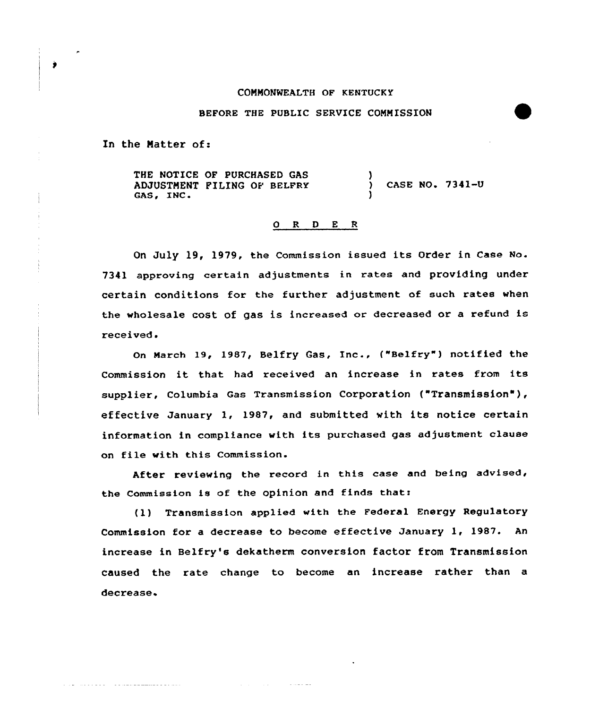## COMMONWEALTH OF KENTUCKY

## BEFORE THE PUBLIC SERVICE COMMISSION

In the Natter of:

a de la caractería de la calactería de la caractería

 $\bullet$ 

THE NOTICE OF PURCHASED GAS ADJUSTMENT FILING OF BELFRY GAS, INC. ) ) CASE NO. 7341-U )

## 0 R <sup>D</sup> E R

On July 19, 1979, the Commission issued its Order in Case No. 7341 approving certain adjustments in rates and providing under certain conditions for the further adjustment of such rates when the wholesale cost of gas is increased or decreased or <sup>a</sup> refund is received.

On March 19, 1987, Belfry Gas, Inc., ("Belfry") notified the Commission it that had received an increase in rates from its supplier, Columbia Gas Transmission Corporation ("Transmission" ), effective January 1, 1987, and submitted with its notice certain information in compliance with its purchased gas adjustment clause on file with this Commission.

After reviewing the record in this case and being advised, the Commission is of the opinion and finds thats

(1) Transmission applied with the Federal Energy Regulatory Commission for a decrease to become effective January 1, 1987. An increase in Belfry's dekatherm conversion factor from Transmission caused the rate change to become an increase rather than a decrease.

and the company of the season of